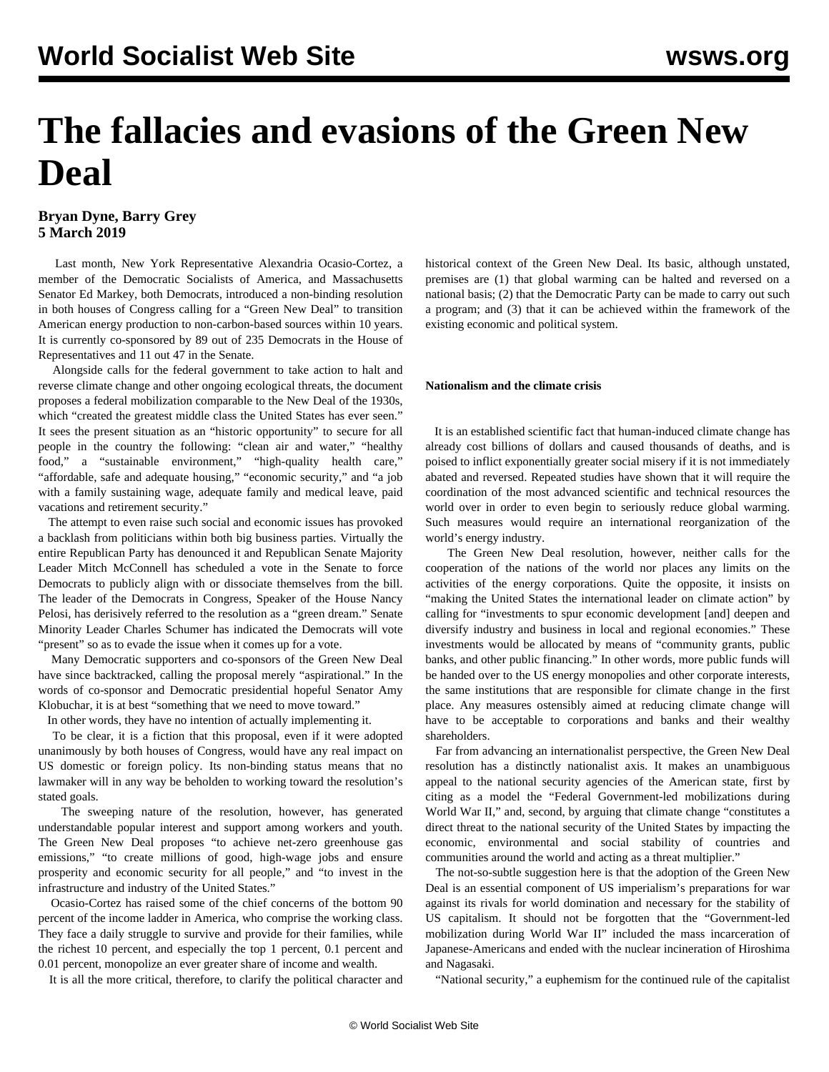# **The fallacies and evasions of the Green New Deal**

# **Bryan Dyne, Barry Grey 5 March 2019**

 Last month, New York Representative Alexandria Ocasio-Cortez, a member of the Democratic Socialists of America, and Massachusetts Senator Ed Markey, both Democrats, introduced a non-binding resolution in both houses of Congress calling for a "Green New Deal" to transition American energy production to non-carbon-based sources within 10 years. It is currently co-sponsored by 89 out of 235 Democrats in the House of Representatives and 11 out 47 in the Senate.

 Alongside calls for the federal government to take action to halt and reverse climate change and other ongoing ecological threats, the document proposes a federal mobilization comparable to the New Deal of the 1930s, which "created the greatest middle class the United States has ever seen." It sees the present situation as an "historic opportunity" to secure for all people in the country the following: "clean air and water," "healthy food," a "sustainable environment," "high-quality health care," "affordable, safe and adequate housing," "economic security," and "a job with a family sustaining wage, adequate family and medical leave, paid vacations and retirement security."

 The attempt to even raise such social and economic issues has provoked a backlash from politicians within both big business parties. Virtually the entire Republican Party has denounced it and Republican Senate Majority Leader Mitch McConnell has scheduled a vote in the Senate to force Democrats to publicly align with or dissociate themselves from the bill. The leader of the Democrats in Congress, Speaker of the House Nancy Pelosi, has derisively referred to the resolution as a "green dream." Senate Minority Leader Charles Schumer has indicated the Democrats will vote "present" so as to evade the issue when it comes up for a vote.

 Many Democratic supporters and co-sponsors of the Green New Deal have since backtracked, calling the proposal merely "aspirational." In the words of co-sponsor and Democratic presidential hopeful Senator Amy Klobuchar, it is at best "something that we need to move toward."

In other words, they have no intention of actually implementing it.

 To be clear, it is a fiction that this proposal, even if it were adopted unanimously by both houses of Congress, would have any real impact on US domestic or foreign policy. Its non-binding status means that no lawmaker will in any way be beholden to working toward the resolution's stated goals.

 The sweeping nature of the resolution, however, has generated understandable popular interest and support among workers and youth. The Green New Deal proposes "to achieve net-zero greenhouse gas emissions," "to create millions of good, high-wage jobs and ensure prosperity and economic security for all people," and "to invest in the infrastructure and industry of the United States."

 Ocasio-Cortez has raised some of the chief concerns of the bottom 90 percent of the income ladder in America, who comprise the working class. They face a daily struggle to survive and provide for their families, while the richest 10 percent, and especially the top 1 percent, 0.1 percent and 0.01 percent, monopolize an ever greater share of income and wealth.

It is all the more critical, therefore, to clarify the political character and

historical context of the Green New Deal. Its basic, although unstated, premises are (1) that global warming can be halted and reversed on a national basis; (2) that the Democratic Party can be made to carry out such a program; and (3) that it can be achieved within the framework of the existing economic and political system.

## **Nationalism and the climate crisis**

 It is an established scientific fact that human-induced climate change has already cost billions of dollars and caused thousands of deaths, and is poised to inflict exponentially greater social misery if it is not immediately abated and reversed. Repeated studies have shown that it will require the coordination of the most advanced scientific and technical resources the world over in order to even begin to seriously reduce global warming. Such measures would require an international reorganization of the world's energy industry.

 The Green New Deal resolution, however, neither calls for the cooperation of the nations of the world nor places any limits on the activities of the energy corporations. Quite the opposite, it insists on "making the United States the international leader on climate action" by calling for "investments to spur economic development [and] deepen and diversify industry and business in local and regional economies." These investments would be allocated by means of "community grants, public banks, and other public financing." In other words, more public funds will be handed over to the US energy monopolies and other corporate interests, the same institutions that are responsible for climate change in the first place. Any measures ostensibly aimed at reducing climate change will have to be acceptable to corporations and banks and their wealthy shareholders.

 Far from advancing an internationalist perspective, the Green New Deal resolution has a distinctly nationalist axis. It makes an unambiguous appeal to the national security agencies of the American state, first by citing as a model the "Federal Government-led mobilizations during World War II," and, second, by arguing that climate change "constitutes a direct threat to the national security of the United States by impacting the economic, environmental and social stability of countries and communities around the world and acting as a threat multiplier."

 The not-so-subtle suggestion here is that the adoption of the Green New Deal is an essential component of US imperialism's preparations for war against its rivals for world domination and necessary for the stability of US capitalism. It should not be forgotten that the "Government-led mobilization during World War II" included the mass incarceration of Japanese-Americans and ended with the nuclear incineration of Hiroshima and Nagasaki.

"National security," a euphemism for the continued rule of the capitalist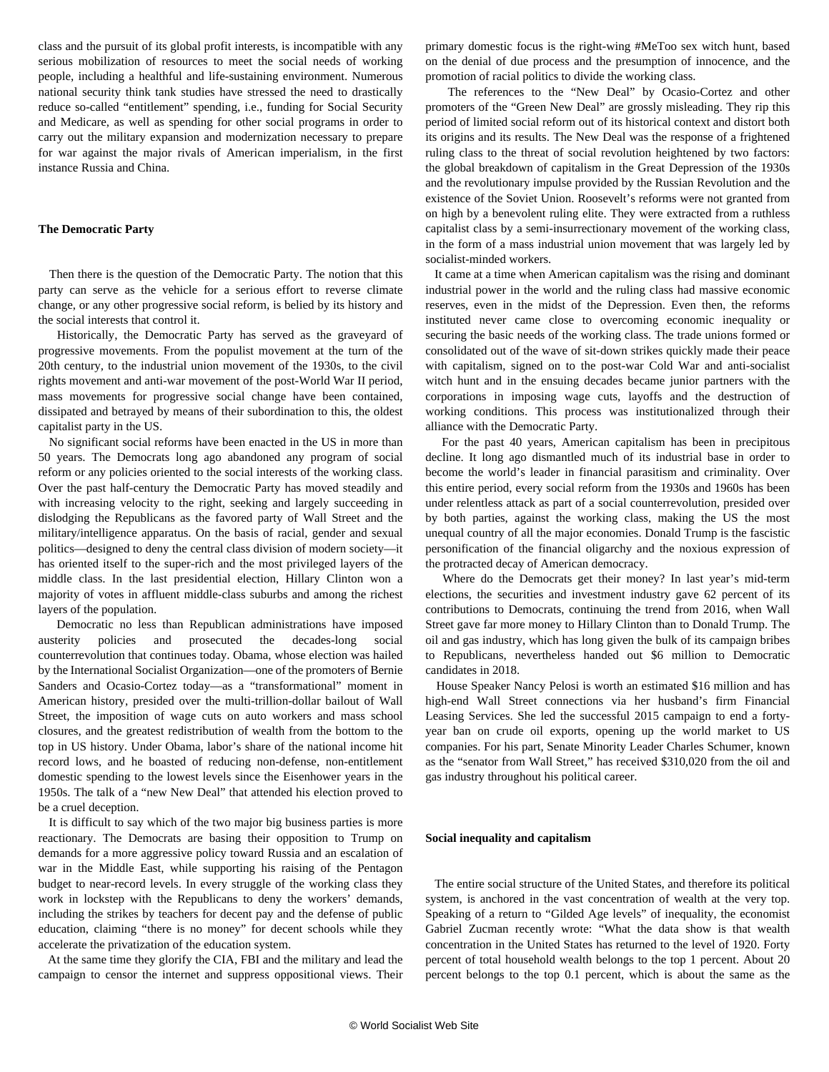class and the pursuit of its global profit interests, is incompatible with any serious mobilization of resources to meet the social needs of working people, including a healthful and life-sustaining environment. Numerous national security think tank studies have stressed the need to drastically reduce so-called "entitlement" spending, i.e., funding for Social Security and Medicare, as well as spending for other social programs in order to carry out the military expansion and modernization necessary to prepare for war against the major rivals of American imperialism, in the first instance Russia and China.

### **The Democratic Party**

 Then there is the question of the Democratic Party. The notion that this party can serve as the vehicle for a serious effort to reverse climate change, or any other progressive social reform, is belied by its history and the social interests that control it.

 Historically, the Democratic Party has served as the graveyard of progressive movements. From the populist movement at the turn of the 20th century, to the industrial union movement of the 1930s, to the civil rights movement and anti-war movement of the post-World War II period, mass movements for progressive social change have been contained, dissipated and betrayed by means of their subordination to this, the oldest capitalist party in the US.

 No significant social reforms have been enacted in the US in more than 50 years. The Democrats long ago abandoned any program of social reform or any policies oriented to the social interests of the working class. Over the past half-century the Democratic Party has moved steadily and with increasing velocity to the right, seeking and largely succeeding in dislodging the Republicans as the favored party of Wall Street and the military/intelligence apparatus. On the basis of racial, gender and sexual politics—designed to deny the central class division of modern society—it has oriented itself to the super-rich and the most privileged layers of the middle class. In the last presidential election, Hillary Clinton won a majority of votes in affluent middle-class suburbs and among the richest layers of the population.

 Democratic no less than Republican administrations have imposed austerity policies and prosecuted the decades-long social counterrevolution that continues today. Obama, whose election was hailed by the International Socialist Organization—one of the promoters of Bernie Sanders and Ocasio-Cortez today—as a "transformational" moment in American history, presided over the multi-trillion-dollar bailout of Wall Street, the imposition of wage cuts on auto workers and mass school closures, and the greatest redistribution of wealth from the bottom to the top in US history. Under Obama, labor's share of the national income hit record lows, and he boasted of reducing non-defense, non-entitlement domestic spending to the lowest levels since the Eisenhower years in the 1950s. The talk of a "new New Deal" that attended his election proved to be a cruel deception.

 It is difficult to say which of the two major big business parties is more reactionary. The Democrats are basing their opposition to Trump on demands for a more aggressive policy toward Russia and an escalation of war in the Middle East, while supporting his raising of the Pentagon budget to near-record levels. In every struggle of the working class they work in lockstep with the Republicans to deny the workers' demands, including the strikes by teachers for decent pay and the defense of public education, claiming "there is no money" for decent schools while they accelerate the privatization of the education system.

 At the same time they glorify the CIA, FBI and the military and lead the campaign to censor the internet and suppress oppositional views. Their primary domestic focus is the right-wing #MeToo sex witch hunt, based on the denial of due process and the presumption of innocence, and the promotion of racial politics to divide the working class.

 The references to the "New Deal" by Ocasio-Cortez and other promoters of the "Green New Deal" are grossly misleading. They rip this period of limited social reform out of its historical context and distort both its origins and its results. The New Deal was the response of a frightened ruling class to the threat of social revolution heightened by two factors: the global breakdown of capitalism in the Great Depression of the 1930s and the revolutionary impulse provided by the Russian Revolution and the existence of the Soviet Union. Roosevelt's reforms were not granted from on high by a benevolent ruling elite. They were extracted from a ruthless capitalist class by a semi-insurrectionary movement of the working class, in the form of a mass industrial union movement that was largely led by socialist-minded workers.

 It came at a time when American capitalism was the rising and dominant industrial power in the world and the ruling class had massive economic reserves, even in the midst of the Depression. Even then, the reforms instituted never came close to overcoming economic inequality or securing the basic needs of the working class. The trade unions formed or consolidated out of the wave of sit-down strikes quickly made their peace with capitalism, signed on to the post-war Cold War and anti-socialist witch hunt and in the ensuing decades became junior partners with the corporations in imposing wage cuts, layoffs and the destruction of working conditions. This process was institutionalized through their alliance with the Democratic Party.

 For the past 40 years, American capitalism has been in precipitous decline. It long ago dismantled much of its industrial base in order to become the world's leader in financial parasitism and criminality. Over this entire period, every social reform from the 1930s and 1960s has been under relentless attack as part of a social counterrevolution, presided over by both parties, against the working class, making the US the most unequal country of all the major economies. Donald Trump is the fascistic personification of the financial oligarchy and the noxious expression of the protracted decay of American democracy.

 Where do the Democrats get their money? In last year's mid-term elections, the securities and investment industry gave 62 percent of its contributions to Democrats, continuing the trend from 2016, when Wall Street gave far more money to Hillary Clinton than to Donald Trump. The oil and gas industry, which has long given the bulk of its campaign bribes to Republicans, nevertheless handed out \$6 million to Democratic candidates in 2018.

 House Speaker Nancy Pelosi is worth an estimated \$16 million and has high-end Wall Street connections via her husband's firm Financial Leasing Services. She led the successful 2015 campaign to end a fortyyear ban on crude oil exports, opening up the world market to US companies. For his part, Senate Minority Leader Charles Schumer, known as the "senator from Wall Street," has received \$310,020 from the oil and gas industry throughout his political career.

#### **Social inequality and capitalism**

 The entire social structure of the United States, and therefore its political system, is anchored in the vast concentration of wealth at the very top. Speaking of a return to "Gilded Age levels" of inequality, the economist Gabriel Zucman recently wrote: "What the data show is that wealth concentration in the United States has returned to the level of 1920. Forty percent of total household wealth belongs to the top 1 percent. About 20 percent belongs to the top 0.1 percent, which is about the same as the